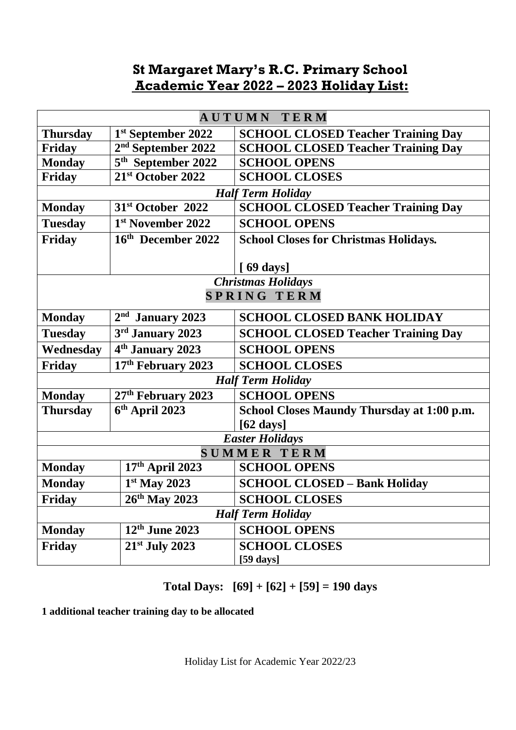## **St Margaret Mary's R.C. Primary School Academic Year 2022 – 2023 Holiday List:**

| AUTUMN<br><b>TERM</b>     |                                |                                              |
|---------------------------|--------------------------------|----------------------------------------------|
| <b>Thursday</b>           | 1st September 2022             | <b>SCHOOL CLOSED Teacher Training Day</b>    |
| Friday                    | 2 <sup>nd</sup> September 2022 | <b>SCHOOL CLOSED Teacher Training Day</b>    |
| <b>Monday</b>             | 5 <sup>th</sup> September 2022 | <b>SCHOOL OPENS</b>                          |
| <b>Friday</b>             | 21st October 2022              | <b>SCHOOL CLOSES</b>                         |
| <b>Half Term Holiday</b>  |                                |                                              |
| <b>Monday</b>             | 31 <sup>st</sup> October 2022  | <b>SCHOOL CLOSED Teacher Training Day</b>    |
| <b>Tuesday</b>            | 1 <sup>st</sup> November 2022  | <b>SCHOOL OPENS</b>                          |
| <b>Friday</b>             | 16th December 2022             | <b>School Closes for Christmas Holidays.</b> |
|                           |                                |                                              |
|                           |                                | [69 days]                                    |
| <b>Christmas Holidays</b> |                                |                                              |
| <b>SPRING TERM</b>        |                                |                                              |
| <b>Monday</b>             | $2nd$ January 2023             | <b>SCHOOL CLOSED BANK HOLIDAY</b>            |
| <b>Tuesday</b>            | 3rd January 2023               | <b>SCHOOL CLOSED Teacher Training Day</b>    |
| Wednesday                 | 4 <sup>th</sup> January 2023   | <b>SCHOOL OPENS</b>                          |
| Friday                    | 17 <sup>th</sup> February 2023 | <b>SCHOOL CLOSES</b>                         |
| <b>Half Term Holiday</b>  |                                |                                              |
| <b>Monday</b>             | 27 <sup>th</sup> February 2023 | <b>SCHOOL OPENS</b>                          |
| <b>Thursday</b>           | $6th$ April 2023               | School Closes Maundy Thursday at 1:00 p.m.   |
|                           |                                | $[62 \text{ days}]$                          |
| <b>Easter Holidays</b>    |                                |                                              |
| <b>SUMMER TERM</b>        |                                |                                              |
| <b>Monday</b>             | 17th April 2023                | <b>SCHOOL OPENS</b>                          |
| <b>Monday</b>             | $1st$ May 2023                 | <b>SCHOOL CLOSED - Bank Holiday</b>          |
| Friday                    | $26^{th}$ May 2023             | <b>SCHOOL CLOSES</b>                         |
| <b>Half Term Holiday</b>  |                                |                                              |
| <b>Monday</b>             | $12th$ June 2023               | <b>SCHOOL OPENS</b>                          |
| Friday                    | $21st$ July 2023               | <b>SCHOOL CLOSES</b>                         |
|                           |                                | [59 days]                                    |

**Total Days: [69] + [62] + [59] = 190 days**

**1 additional teacher training day to be allocated**